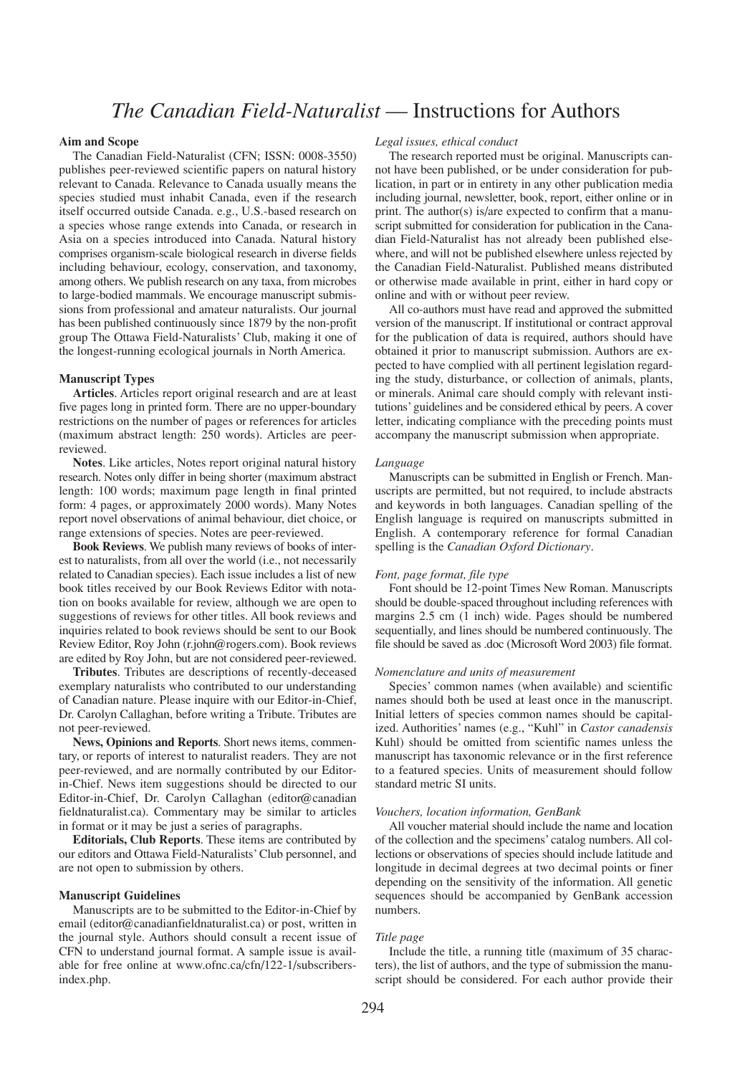# *The Canadian Field-Naturalist* — Instructions for Authors

## **Aim and Scope**

The Canadian Field-Naturalist (CFN; ISSN: 0008-3550) publishes peer-reviewed scientific papers on natural history relevant to Canada. Relevance to Canada usually means the species studied must inhabit Canada, even if the research itself occurred outside Canada. e.g., U.S.-based research on a species whose range extends into Canada, or research in Asia on a species introduced into Canada. Natural history comprises organism-scale biological research in diverse fields including behaviour, ecology, conservation, and taxonomy, among others. We publish research on any taxa, from microbes to large-bodied mammals. We encourage manuscript submissions from professional and amateur naturalists. Our journal has been published continuously since 1879 by the non-profit group The Ottawa Field-Naturalists' Club, making it one of the longest-running ecological journals in North America.

#### **Manuscript Types**

**Articles**. Articles report original research and are at least five pages long in printed form. There are no upper-boundary restrictions on the number of pages or references for articles (maximum abstract length: 250 words). Articles are peerreviewed.

**Notes**. Like articles, Notes report original natural history research. Notes only differ in being shorter (maximum abstract length: 100 words; maximum page length in final printed form: 4 pages, or approximately 2000 words). Many Notes report novel observations of animal behaviour, diet choice, or range extensions of species. Notes are peer-reviewed.

**Book Reviews**. We publish many reviews of books of interest to naturalists, from all over the world (i.e., not necessarily related to Canadian species). Each issue includes a list of new book titles received by our Book Reviews Editor with notation on books available for review, although we are open to suggestions of reviews for other titles. All book reviews and inquiries related to book reviews should be sent to our Book Review Editor, Roy John (r.john@rogers.com). Book reviews are edited by Roy John, but are not considered peer-reviewed.

**Tributes**. Tributes are descriptions of recently-deceased exemplary naturalists who contributed to our understanding of Canadian nature. Please inquire with our Editor-in-Chief, Dr. Carolyn Callaghan, before writing a Tribute. Tributes are not peer-reviewed.

**News, Opinions and Reports**. Short news items, commentary, or reports of interest to naturalist readers. They are not peer-reviewed, and are normally contributed by our Editorin-Chief. News item suggestions should be directed to our Editor-in-Chief, Dr. Carolyn Callaghan (editor@canadian fieldnaturalist.ca). Commentary may be similar to articles in format or it may be just a series of paragraphs.

**Editorials, Club Reports**. These items are contributed by our editors and Ottawa Field-Naturalists'Club personnel, and are not open to submission by others.

#### **Manuscript Guidelines**

Manuscripts are to be submitted to the Editor-in-Chief by email (editor@canadianfieldnaturalist.ca) or post, written in the journal style. Authors should consult a recent issue of CFN to understand journal format. A sample issue is available for free online at www.ofnc.ca/cfn/122-1/subscribersindex.php.

#### *Legal issues, ethical conduct*

The research reported must be original. Manuscripts cannot have been published, or be under consideration for publication, in part or in entirety in any other publication media including journal, newsletter, book, report, either online or in print. The author(s) is/are expected to confirm that a manuscript submitted for consideration for publication in the Canadian Field-Naturalist has not already been published elsewhere, and will not be published elsewhere unless rejected by the Canadian Field-Naturalist. Published means distributed or otherwise made available in print, either in hard copy or online and with or without peer review.

All co-authors must have read and approved the submitted version of the manuscript. If institutional or contract approval for the publication of data is required, authors should have obtained it prior to manuscript submission. Authors are expected to have complied with all pertinent legislation regarding the study, disturbance, or collection of animals, plants, or minerals. Animal care should comply with relevant institutions' guidelines and be considered ethical by peers. A cover letter, indicating compliance with the preceding points must accompany the manuscript submission when appropriate.

#### *Language*

Manuscripts can be submitted in English or French. Manuscripts are permitted, but not required, to include abstracts and keywords in both languages. Canadian spelling of the English language is required on manuscripts submitted in English. A contemporary reference for formal Canadian spelling is the *Canadian Oxford Dictionary*.

#### *Font, page format, file type*

Font should be 12-point Times New Roman. Manuscripts should be double-spaced throughout including references with margins 2.5 cm (1 inch) wide. Pages should be numbered sequentially, and lines should be numbered continuously. The file should be saved as .doc (Microsoft Word 2003) file format.

#### *Nomenclature and units of measurement*

Species' common names (when available) and scientific names should both be used at least once in the manuscript. Initial letters of species common names should be capitalized. Authorities' names (e.g., "Kuhl" in *Castor canadensis* Kuhl) should be omitted from scientific names unless the manuscript has taxonomic relevance or in the first reference to a featured species. Units of measurement should follow standard metric SI units.

#### *Vouchers, location information, GenBank*

All voucher material should include the name and location of the collection and the specimens' catalog numbers. All collections or observations of species should include latitude and longitude in decimal degrees at two decimal points or finer depending on the sensitivity of the information. All genetic sequences should be accompanied by GenBank accession numbers.

#### *Title page*

Include the title, a running title (maximum of 35 characters), the list of authors, and the type of submission the manuscript should be considered. For each author provide their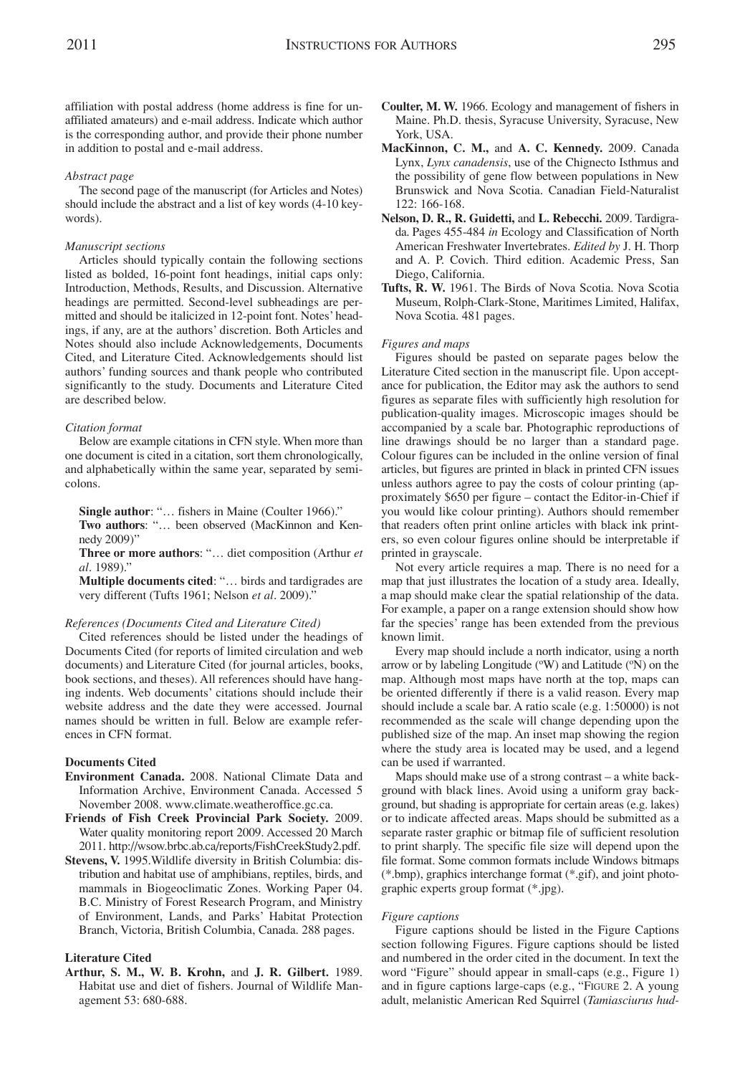affiliation with postal address (home address is fine for unaffiliated amateurs) and e-mail address. Indicate which author is the corresponding author, and provide their phone number in addition to postal and e-mail address.

# *Abstract page*

The second page of the manuscript (for Articles and Notes) should include the abstract and a list of key words (4-10 keywords).

# *Manuscript sections*

Articles should typically contain the following sections listed as bolded, 16-point font headings, initial caps only: Introduction, Methods, Results, and Discussion. Alternative headings are permitted. Second-level subheadings are permitted and should be italicized in 12-point font. Notes' headings, if any, are at the authors' discretion. Both Articles and Notes should also include Acknowledgements, Documents Cited, and Literature Cited. Acknowledgements should list authors' funding sources and thank people who contributed significantly to the study. Documents and Literature Cited are described below.

# *Citation format*

Below are example citations in CFN style. When more than one document is cited in a citation, sort them chronologically, and alphabetically within the same year, separated by semicolons.

**Single author**: "… fishers in Maine (Coulter 1966)."

**Two authors**: "… been observed (MacKinnon and Kennedy 2009)"

**Three or more authors**: "… diet composition (Arthur *et al*. 1989)."

**Multiple documents cited**: "… birds and tardigrades are very different (Tufts 1961; Nelson *et al*. 2009)."

# *References (Documents Cited and Literature Cited)*

Cited references should be listed under the headings of Documents Cited (for reports of limited circulation and web documents) and Literature Cited (for journal articles, books, book sections, and theses). All references should have hanging indents. Web documents' citations should include their website address and the date they were accessed. Journal names should be written in full. Below are example references in CFN format.

# **Documents Cited**

- **Environment Canada.** 2008. National Climate Data and Information Archive, Environment Canada. Accessed 5 November 2008. www.climate.weatheroffice.gc.ca.
- **Friends of Fish Creek Provincial Park Society.** 2009. Water quality monitoring report 2009. Accessed 20 March 2011. http://wsow.brbc.ab.ca/reports/FishCreekStudy2.pdf.
- **Stevens, V.** 1995.Wildlife diversity in British Columbia: distribution and habitat use of amphibians, reptiles, birds, and mammals in Biogeoclimatic Zones. Working Paper 04. B.C. Ministry of Forest Research Program, and Ministry of Environment, Lands, and Parks' Habitat Protection Branch, Victoria, British Columbia, Canada. 288 pages.

# **Literature Cited**

**Arthur, S. M., W. B. Krohn,** and **J. R. Gilbert.** 1989. Habitat use and diet of fishers. Journal of Wildlife Management 53: 680-688.

- **Coulter, M. W.** 1966. Ecology and management of fishers in Maine. Ph.D. thesis, Syracuse University, Syracuse, New York, USA.
- **MacKinnon, C. M.,** and **A. C. Kennedy.** 2009. Canada Lynx, *Lynx canadensis*, use of the Chignecto Isthmus and the possibility of gene flow between populations in New Brunswick and Nova Scotia. Canadian Field-Naturalist 122: 166-168.
- **Nelson, D. R., R. Guidetti,** and **L. Rebecchi.** 2009. Tardigrada. Pages 455-484 *in* Ecology and Classification of North American Freshwater Invertebrates. *Edited by* J. H. Thorp and A. P. Covich. Third edition. Academic Press, San Diego, California.
- **Tufts, R. W.** 1961. The Birds of Nova Scotia. Nova Scotia Museum, Rolph-Clark-Stone, Maritimes Limited, Halifax, Nova Scotia. 481 pages.

## *Figures and maps*

Figures should be pasted on separate pages below the Literature Cited section in the manuscript file. Upon acceptance for publication, the Editor may ask the authors to send figures as separate files with sufficiently high resolution for publication-quality images. Microscopic images should be accompanied by a scale bar. Photographic reproductions of line drawings should be no larger than a standard page. Colour figures can be included in the online version of final articles, but figures are printed in black in printed CFN issues unless authors agree to pay the costs of colour printing (approximately \$650 per figure – contact the Editor-in-Chief if you would like colour printing). Authors should remember that readers often print online articles with black ink printers, so even colour figures online should be interpretable if printed in grayscale.

Not every article requires a map. There is no need for a map that just illustrates the location of a study area. Ideally, a map should make clear the spatial relationship of the data. For example, a paper on a range extension should show how far the species' range has been extended from the previous known limit.

Every map should include a north indicator, using a north arrow or by labeling Longitude  $({}^{\circ}W)$  and Latitude  $({}^{\circ}N)$  on the map. Although most maps have north at the top, maps can be oriented differently if there is a valid reason. Every map should include a scale bar. A ratio scale (e.g. 1:50000) is not recommended as the scale will change depending upon the published size of the map. An inset map showing the region where the study area is located may be used, and a legend can be used if warranted.

Maps should make use of a strong contrast – a white background with black lines. Avoid using a uniform gray background, but shading is appropriate for certain areas (e.g. lakes) or to indicate affected areas. Maps should be submitted as a separate raster graphic or bitmap file of sufficient resolution to print sharply. The specific file size will depend upon the file format. Some common formats include Windows bitmaps (\*.bmp), graphics interchange format (\*.gif), and joint photographic experts group format (\*.jpg).

#### *Figure captions*

Figure captions should be listed in the Figure Captions section following Figures. Figure captions should be listed and numbered in the order cited in the document. In text the word "Figure" should appear in small-caps (e.g., Figure 1) and in figure captions large-caps (e.g., "FIGURE 2. A young adult, melanistic American Red Squirrel (*Tamiasciurus hud-*